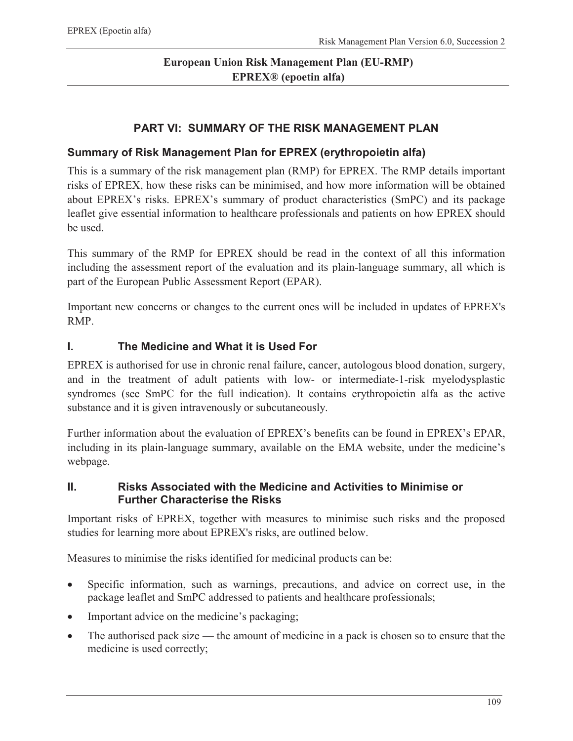# **European Union Risk Management Plan (EU-RMP) EPREX® (epoetin alfa)**

#### **PART VI: SUMMARY OF THE RISK MANAGEMENT PLAN**

#### **Summary of Risk Management Plan for EPREX (erythropoietin alfa)**

This is a summary of the risk management plan (RMP) for EPREX. The RMP details important risks of EPREX, how these risks can be minimised, and how more information will be obtained about EPREX's risks. EPREX's summary of product characteristics (SmPC) and its package leaflet give essential information to healthcare professionals and patients on how EPREX should be used.

This summary of the RMP for EPREX should be read in the context of all this information including the assessment report of the evaluation and its plain-language summary, all which is part of the European Public Assessment Report (EPAR).

Important new concerns or changes to the current ones will be included in updates of EPREX's RMP.

#### **I. The Medicine and What it is Used For**

EPREX is authorised for use in chronic renal failure, cancer, autologous blood donation, surgery, and in the treatment of adult patients with low- or intermediate-1-risk myelodysplastic syndromes (see SmPC for the full indication). It contains erythropoietin alfa as the active substance and it is given intravenously or subcutaneously.

Further information about the evaluation of EPREX's benefits can be found in EPREX's EPAR, including in its plain-language summary, available on the EMA website, under the medicine's webpage.

#### **II. Risks Associated with the Medicine and Activities to Minimise or Further Characterise the Risks**

Important risks of EPREX, together with measures to minimise such risks and the proposed studies for learning more about EPREX's risks, are outlined below.

Measures to minimise the risks identified for medicinal products can be:

- ! Specific information, such as warnings, precautions, and advice on correct use, in the package leaflet and SmPC addressed to patients and healthcare professionals;
- Important advice on the medicine's packaging;
- The authorised pack size the amount of medicine in a pack is chosen so to ensure that the medicine is used correctly;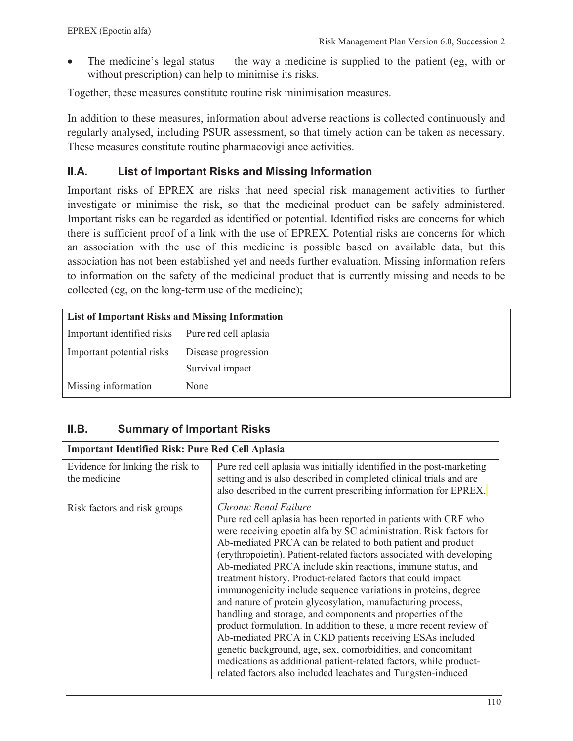! The medicine's legal status — the way a medicine is supplied to the patient (eg, with or without prescription) can help to minimise its risks.

Together, these measures constitute routine risk minimisation measures.

In addition to these measures, information about adverse reactions is collected continuously and regularly analysed, including PSUR assessment, so that timely action can be taken as necessary. These measures constitute routine pharmacovigilance activities.

### **II.A. List of Important Risks and Missing Information**

Important risks of EPREX are risks that need special risk management activities to further investigate or minimise the risk, so that the medicinal product can be safely administered. Important risks can be regarded as identified or potential. Identified risks are concerns for which there is sufficient proof of a link with the use of EPREX. Potential risks are concerns for which an association with the use of this medicine is possible based on available data, but this association has not been established yet and needs further evaluation. Missing information refers to information on the safety of the medicinal product that is currently missing and needs to be collected (eg, on the long-term use of the medicine);

| <b>List of Important Risks and Missing Information</b> |                       |  |
|--------------------------------------------------------|-----------------------|--|
| Important identified risks                             | Pure red cell aplasia |  |
| Important potential risks                              | Disease progression   |  |
|                                                        | Survival impact       |  |
| Missing information                                    | None                  |  |

## **II.B. Summary of Important Risks**

| <b>Important Identified Risk: Pure Red Cell Aplasia</b> |                                                                                                                                                                                                                                                                                                                                                                                                                                                                                                                                                                                                                                                                                                                                                                                                                                                                                                                                                                             |  |
|---------------------------------------------------------|-----------------------------------------------------------------------------------------------------------------------------------------------------------------------------------------------------------------------------------------------------------------------------------------------------------------------------------------------------------------------------------------------------------------------------------------------------------------------------------------------------------------------------------------------------------------------------------------------------------------------------------------------------------------------------------------------------------------------------------------------------------------------------------------------------------------------------------------------------------------------------------------------------------------------------------------------------------------------------|--|
| Evidence for linking the risk to<br>the medicine        | Pure red cell aplasia was initially identified in the post-marketing<br>setting and is also described in completed clinical trials and are<br>also described in the current prescribing information for EPREX.                                                                                                                                                                                                                                                                                                                                                                                                                                                                                                                                                                                                                                                                                                                                                              |  |
| Risk factors and risk groups                            | Chronic Renal Failure<br>Pure red cell aplasia has been reported in patients with CRF who<br>were receiving epoetin alfa by SC administration. Risk factors for<br>Ab-mediated PRCA can be related to both patient and product<br>(erythropoietin). Patient-related factors associated with developing<br>Ab-mediated PRCA include skin reactions, immune status, and<br>treatment history. Product-related factors that could impact<br>immunogenicity include sequence variations in proteins, degree<br>and nature of protein glycosylation, manufacturing process,<br>handling and storage, and components and properties of the<br>product formulation. In addition to these, a more recent review of<br>Ab-mediated PRCA in CKD patients receiving ESAs included<br>genetic background, age, sex, comorbidities, and concomitant<br>medications as additional patient-related factors, while product-<br>related factors also included leachates and Tungsten-induced |  |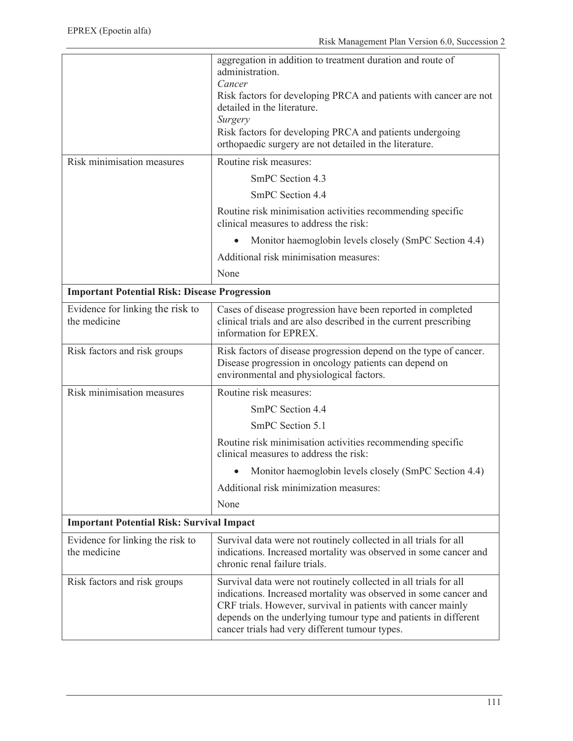|                                                      | aggregation in addition to treatment duration and route of<br>administration.<br>Cancer                                                                                                                                                                                                                                   |  |
|------------------------------------------------------|---------------------------------------------------------------------------------------------------------------------------------------------------------------------------------------------------------------------------------------------------------------------------------------------------------------------------|--|
|                                                      | Risk factors for developing PRCA and patients with cancer are not<br>detailed in the literature.                                                                                                                                                                                                                          |  |
|                                                      | Surgery                                                                                                                                                                                                                                                                                                                   |  |
|                                                      | Risk factors for developing PRCA and patients undergoing<br>orthopaedic surgery are not detailed in the literature.                                                                                                                                                                                                       |  |
| Risk minimisation measures                           | Routine risk measures:                                                                                                                                                                                                                                                                                                    |  |
|                                                      | SmPC Section 4.3                                                                                                                                                                                                                                                                                                          |  |
|                                                      | SmPC Section 4.4                                                                                                                                                                                                                                                                                                          |  |
|                                                      | Routine risk minimisation activities recommending specific<br>clinical measures to address the risk:                                                                                                                                                                                                                      |  |
|                                                      | Monitor haemoglobin levels closely (SmPC Section 4.4)                                                                                                                                                                                                                                                                     |  |
|                                                      | Additional risk minimisation measures:                                                                                                                                                                                                                                                                                    |  |
|                                                      | None                                                                                                                                                                                                                                                                                                                      |  |
| <b>Important Potential Risk: Disease Progression</b> |                                                                                                                                                                                                                                                                                                                           |  |
| Evidence for linking the risk to<br>the medicine     | Cases of disease progression have been reported in completed<br>clinical trials and are also described in the current prescribing<br>information for EPREX.                                                                                                                                                               |  |
| Risk factors and risk groups                         | Risk factors of disease progression depend on the type of cancer.<br>Disease progression in oncology patients can depend on<br>environmental and physiological factors.                                                                                                                                                   |  |
| Risk minimisation measures                           | Routine risk measures:                                                                                                                                                                                                                                                                                                    |  |
|                                                      | SmPC Section 4.4                                                                                                                                                                                                                                                                                                          |  |
|                                                      | SmPC Section 5.1                                                                                                                                                                                                                                                                                                          |  |
|                                                      | Routine risk minimisation activities recommending specific<br>clinical measures to address the risk:                                                                                                                                                                                                                      |  |
|                                                      | Monitor haemoglobin levels closely (SmPC Section 4.4)                                                                                                                                                                                                                                                                     |  |
|                                                      | Additional risk minimization measures:                                                                                                                                                                                                                                                                                    |  |
|                                                      | None                                                                                                                                                                                                                                                                                                                      |  |
| <b>Important Potential Risk: Survival Impact</b>     |                                                                                                                                                                                                                                                                                                                           |  |
| Evidence for linking the risk to<br>the medicine     | Survival data were not routinely collected in all trials for all<br>indications. Increased mortality was observed in some cancer and<br>chronic renal failure trials.                                                                                                                                                     |  |
| Risk factors and risk groups                         | Survival data were not routinely collected in all trials for all<br>indications. Increased mortality was observed in some cancer and<br>CRF trials. However, survival in patients with cancer mainly<br>depends on the underlying tumour type and patients in different<br>cancer trials had very different tumour types. |  |